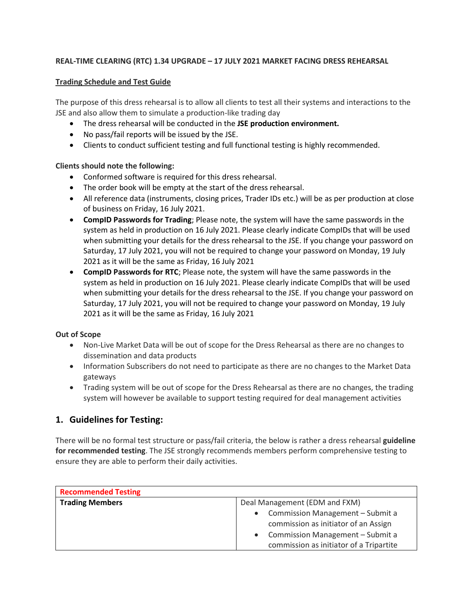#### **REAL-TIME CLEARING (RTC) 1.34 UPGRADE – 17 JULY 2021 MARKET FACING DRESS REHEARSAL**

#### **Trading Schedule and Test Guide**

The purpose of this dress rehearsal is to allow all clients to test all their systems and interactions to the JSE and also allow them to simulate a production-like trading day

- The dress rehearsal will be conducted in the **JSE production environment.**
- No pass/fail reports will be issued by the JSE.
- Clients to conduct sufficient testing and full functional testing is highly recommended.

#### **Clients should note the following:**

- Conformed software is required for this dress rehearsal.
- The order book will be empty at the start of the dress rehearsal.
- All reference data (instruments, closing prices, Trader IDs etc.) will be as per production at close of business on Friday, 16 July 2021.
- **CompID Passwords for Trading**; Please note, the system will have the same passwords in the system as held in production on 16 July 2021. Please clearly indicate CompIDs that will be used when submitting your details for the dress rehearsal to the JSE. If you change your password on Saturday, 17 July 2021, you will not be required to change your password on Monday, 19 July 2021 as it will be the same as Friday, 16 July 2021
- **CompID Passwords for RTC**; Please note, the system will have the same passwords in the system as held in production on 16 July 2021. Please clearly indicate CompIDs that will be used when submitting your details for the dress rehearsal to the JSE. If you change your password on Saturday, 17 July 2021, you will not be required to change your password on Monday, 19 July 2021 as it will be the same as Friday, 16 July 2021

#### **Out of Scope**

- Non-Live Market Data will be out of scope for the Dress Rehearsal as there are no changes to dissemination and data products
- Information Subscribers do not need to participate as there are no changes to the Market Data gateways
- Trading system will be out of scope for the Dress Rehearsal as there are no changes, the trading system will however be available to support testing required for deal management activities

### **1. Guidelines for Testing:**

There will be no formal test structure or pass/fail criteria, the below is rather a dress rehearsal **guideline for recommended testing**. The JSE strongly recommends members perform comprehensive testing to ensure they are able to perform their daily activities.

| <b>Recommended Testing</b> |                                                                                                                             |  |
|----------------------------|-----------------------------------------------------------------------------------------------------------------------------|--|
| <b>Trading Members</b>     | Deal Management (EDM and FXM)                                                                                               |  |
|                            | • Commission Management - Submit a<br>commission as initiator of an Assign<br>Commission Management - Submit a<br>$\bullet$ |  |
|                            | commission as initiator of a Tripartite                                                                                     |  |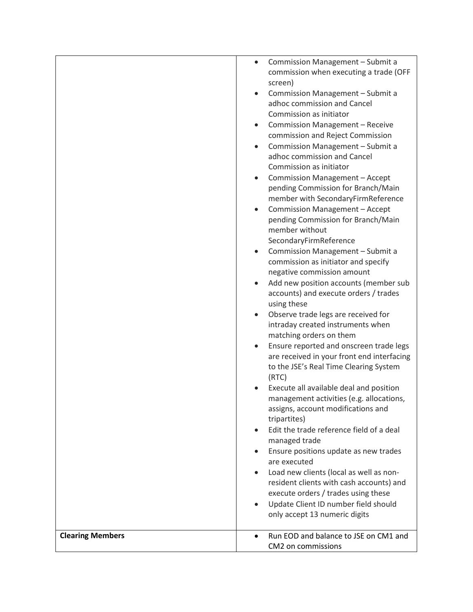|                         | Commission Management - Submit a<br>$\bullet$      |
|-------------------------|----------------------------------------------------|
|                         | commission when executing a trade (OFF             |
|                         | screen)                                            |
|                         | Commission Management - Submit a<br>$\bullet$      |
|                         | adhoc commission and Cancel                        |
|                         | Commission as initiator                            |
|                         | Commission Management - Receive<br>$\bullet$       |
|                         | commission and Reject Commission                   |
|                         | Commission Management - Submit a<br>$\bullet$      |
|                         | adhoc commission and Cancel                        |
|                         | Commission as initiator                            |
|                         | Commission Management - Accept<br>$\bullet$        |
|                         | pending Commission for Branch/Main                 |
|                         | member with SecondaryFirmReference                 |
|                         | Commission Management - Accept<br>$\bullet$        |
|                         | pending Commission for Branch/Main                 |
|                         | member without                                     |
|                         | SecondaryFirmReference                             |
|                         | Commission Management - Submit a<br>$\bullet$      |
|                         | commission as initiator and specify                |
|                         | negative commission amount                         |
|                         | Add new position accounts (member sub<br>$\bullet$ |
|                         | accounts) and execute orders / trades              |
|                         | using these                                        |
|                         | Observe trade legs are received for                |
|                         | intraday created instruments when                  |
|                         | matching orders on them                            |
|                         | Ensure reported and onscreen trade legs            |
|                         | are received in your front end interfacing         |
|                         | to the JSE's Real Time Clearing System             |
|                         | (RTC)                                              |
|                         | Execute all available deal and position            |
|                         | management activities (e.g. allocations,           |
|                         | assigns, account modifications and<br>tripartites) |
|                         | Edit the trade reference field of a deal           |
|                         | managed trade                                      |
|                         | Ensure positions update as new trades<br>$\bullet$ |
|                         | are executed                                       |
|                         | Load new clients (local as well as non-            |
|                         | resident clients with cash accounts) and           |
|                         | execute orders / trades using these                |
|                         | Update Client ID number field should               |
|                         | only accept 13 numeric digits                      |
|                         |                                                    |
| <b>Clearing Members</b> | Run EOD and balance to JSE on CM1 and<br>$\bullet$ |
|                         | CM2 on commissions                                 |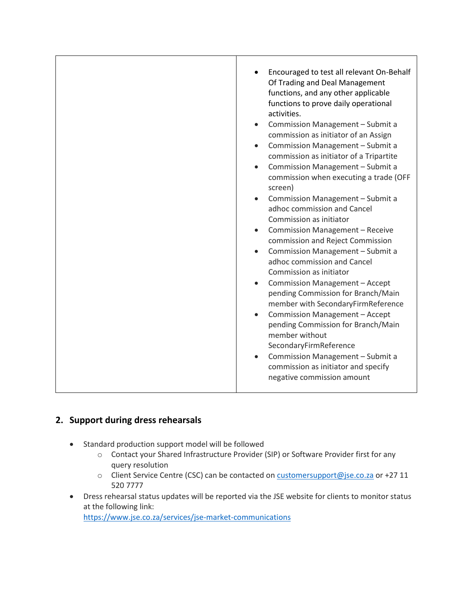| Encouraged to test all relevant On-Behalf<br>Of Trading and Deal Management<br>functions, and any other applicable<br>functions to prove daily operational<br>activities.<br>Commission Management - Submit a<br>$\bullet$<br>commission as initiator of an Assign<br>Commission Management - Submit a<br>$\bullet$<br>commission as initiator of a Tripartite<br>Commission Management - Submit a<br>$\bullet$<br>commission when executing a trade (OFF<br>screen)<br>Commission Management - Submit a<br>$\bullet$<br>adhoc commission and Cancel<br>Commission as initiator<br>Commission Management - Receive<br>$\bullet$<br>commission and Reject Commission<br>Commission Management - Submit a<br>$\bullet$<br>adhoc commission and Cancel<br>Commission as initiator<br>Commission Management - Accept<br>$\bullet$<br>pending Commission for Branch/Main<br>member with SecondaryFirmReference<br>Commission Management - Accept<br>$\bullet$<br>pending Commission for Branch/Main<br>member without<br>SecondaryFirmReference<br>Commission Management - Submit a<br>$\bullet$ |
|---------------------------------------------------------------------------------------------------------------------------------------------------------------------------------------------------------------------------------------------------------------------------------------------------------------------------------------------------------------------------------------------------------------------------------------------------------------------------------------------------------------------------------------------------------------------------------------------------------------------------------------------------------------------------------------------------------------------------------------------------------------------------------------------------------------------------------------------------------------------------------------------------------------------------------------------------------------------------------------------------------------------------------------------------------------------------------------------|
| commission as initiator and specify<br>negative commission amount                                                                                                                                                                                                                                                                                                                                                                                                                                                                                                                                                                                                                                                                                                                                                                                                                                                                                                                                                                                                                           |

## **2. Support during dress rehearsals**

- Standard production support model will be followed
	- o Contact your Shared Infrastructure Provider (SIP) or Software Provider first for any query resolution
	- o Client Service Centre (CSC) can be contacted o[n customersupport@jse.co.za](mailto:customersupport@jse.co.za) or +27 11 520 7777
- Dress rehearsal status updates will be reported via the JSE website for clients to monitor status at the following link: <https://www.jse.co.za/services/jse-market-communications>